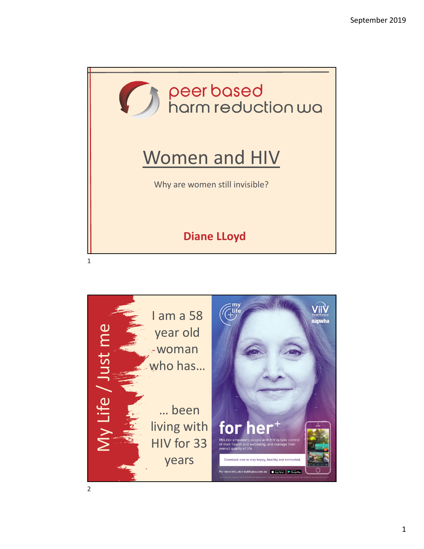

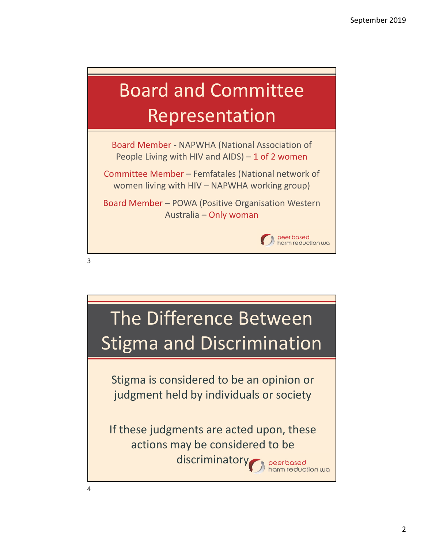## Board and Committee Representation

Board Member ‐ NAPWHA (National Association of People Living with HIV and AIDS) – 1 of 2 women

Committee Member – Femfatales (National network of women living with HIV – NAPWHA working group)

Board Member – POWA (Positive Organisation Western Australia – Only woman



3

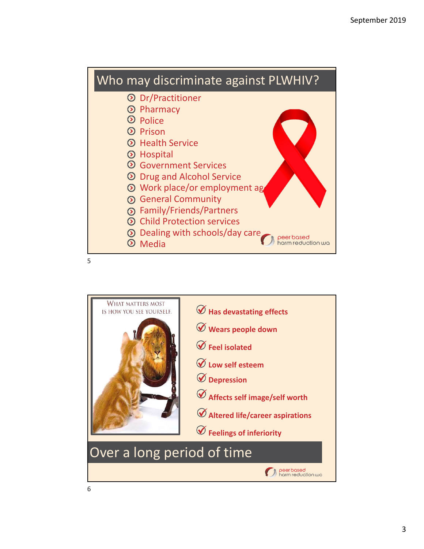

5

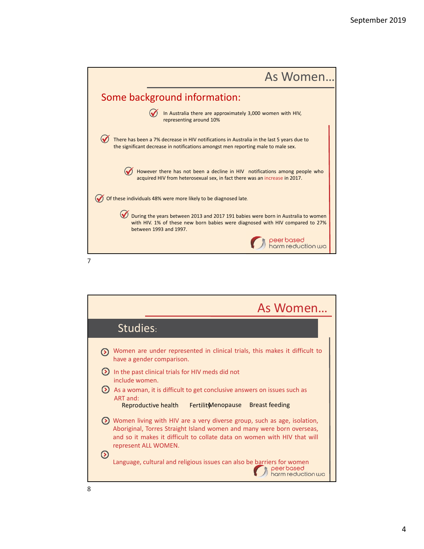| As Women                                                                                                                                                                                     |
|----------------------------------------------------------------------------------------------------------------------------------------------------------------------------------------------|
| Some background information:                                                                                                                                                                 |
| In Australia there are approximately 3,000 women with HIV,<br>representing around 10%                                                                                                        |
| There has been a 7% decrease in HIV notifications in Australia in the last 5 years due to<br>the significant decrease in notifications amongst men reporting male to male sex.               |
| However there has not been a decline in HIV notifications among people who<br>acquired HIV from heterosexual sex, in fact there was an increase in 2017.                                     |
| Of these individuals 48% were more likely to be diagnosed late.                                                                                                                              |
| During the years between 2013 and 2017 191 babies were born in Australia to women<br>with HIV. 1% of these new born babies were diagnosed with HIV compared to 27%<br>between 1993 and 1997. |
| e <mark>er based</mark><br>arm reduction wa                                                                                                                                                  |
|                                                                                                                                                                                              |

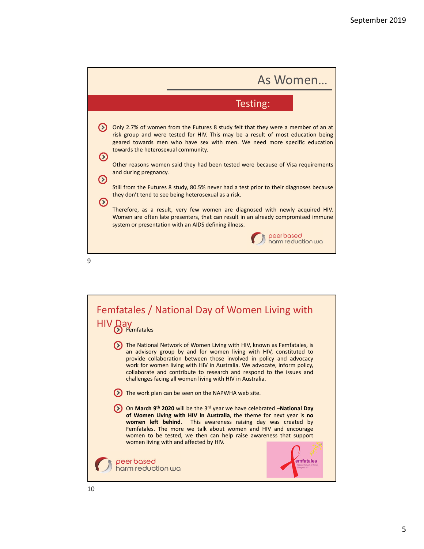